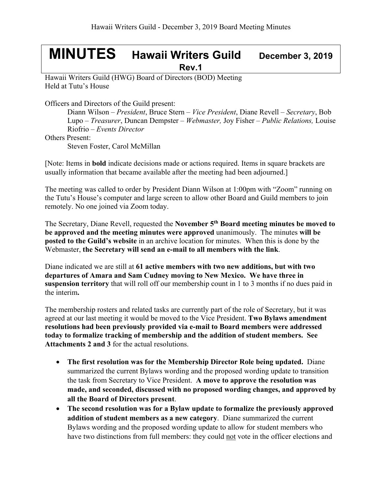## **MINUTES Hawaii Writers Guild December 3, <sup>2019</sup> Rev.1**

Hawaii Writers Guild (HWG) Board of Directors (BOD) Meeting Held at Tutu's House

Officers and Directors of the Guild present:

Diann Wilson – *President*, Bruce Stern – *Vice President*, Diane Revell – *Secretary*, Bob Lupo – *Treasurer*, Duncan Dempster – *Webmaster,* Joy Fisher – *Public Relations,* Louise Riofrio – *Events Director*

Others Present:

Steven Foster, Carol McMillan

[Note: Items in **bold** indicate decisions made or actions required. Items in square brackets are usually information that became available after the meeting had been adjourned.]

The meeting was called to order by President Diann Wilson at 1:00pm with "Zoom" running on the Tutu's House's computer and large screen to allow other Board and Guild members to join remotely. No one joined via Zoom today.

The Secretary, Diane Revell, requested the **November 5th Board meeting minutes be moved to be approved and the meeting minutes were approved** unanimously. The minutes **will be posted to the Guild's website** in an archive location for minutes. When this is done by the Webmaster, **the Secretary will send an e-mail to all members with the link**.

Diane indicated we are still at **61 active members with two new additions, but with two departures of Amara and Sam Cudney moving to New Mexico. We have three in suspension territory** that will roll off our membership count in 1 to 3 months if no dues paid in the interim**.**

The membership rosters and related tasks are currently part of the role of Secretary, but it was agreed at our last meeting it would be moved to the Vice President. **Two Bylaws amendment resolutions had been previously provided via e-mail to Board members were addressed today to formalize tracking of membership and the addition of student members. See Attachments 2 and 3** for the actual resolutions.

- **The first resolution was for the Membership Director Role being updated.** Diane summarized the current Bylaws wording and the proposed wording update to transition the task from Secretary to Vice President. **A move to approve the resolution was made, and seconded, discussed with no proposed wording changes, and approved by all the Board of Directors present**.
- **The second resolution was for a Bylaw update to formalize the previously approved addition of student members as a new category**. Diane summarized the current Bylaws wording and the proposed wording update to allow for student members who have two distinctions from full members: they could not vote in the officer elections and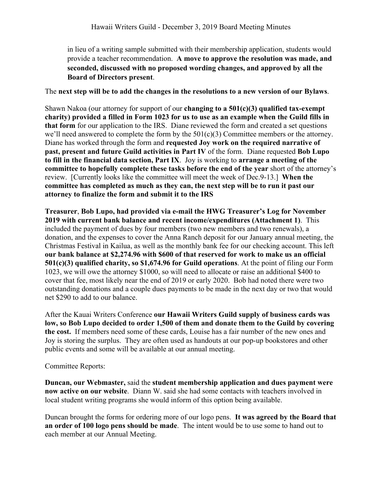in lieu of a writing sample submitted with their membership application, students would provide a teacher recommendation. **A move to approve the resolution was made, and seconded, discussed with no proposed wording changes, and approved by all the Board of Directors present**.

The **next step will be to add the changes in the resolutions to a new version of our Bylaws**.

Shawn Nakoa (our attorney for support of our **changing to a 501(c)(3) qualified tax-exempt charity) provided a filled in Form 1023 for us to use as an example when the Guild fills in that form** for our application to the IRS. Diane reviewed the form and created a set questions we'll need answered to complete the form by the  $501(c)(3)$  Committee members or the attorney. Diane has worked through the form and **requested Joy work on the required narrative of past, present and future Guild activities in Part IV** of the form. Diane requested **Bob Lupo to fill in the financial data section, Part IX**. Joy is working to **arrange a meeting of the committee to hopefully complete these tasks before the end of the year** short of the attorney's review. [Currently looks like the committee will meet the week of Dec.9-13.] **When the committee has completed as much as they can, the next step will be to run it past our attorney to finalize the form and submit it to the IRS**

**Treasurer**, **Bob Lupo, had provided via e-mail the HWG Treasurer's Log for November 2019 with current bank balance and recent income/expenditures (Attachment 1)**. This included the payment of dues by four members (two new members and two renewals), a donation, and the expenses to cover the Anna Ranch deposit for our January annual meeting, the Christmas Festival in Kailua, as well as the monthly bank fee for our checking account. This left **our bank balance at \$2,274.96 with \$600 of that reserved for work to make us an official 501(c)(3) qualified charity, so \$1,674.96 for Guild operations**. At the point of filing our Form 1023, we will owe the attorney \$1000, so will need to allocate or raise an additional \$400 to cover that fee, most likely near the end of 2019 or early 2020. Bob had noted there were two outstanding donations and a couple dues payments to be made in the next day or two that would net \$290 to add to our balance.

After the Kauai Writers Conference **our Hawaii Writers Guild supply of business cards was low, so Bob Lupo decided to order 1,500 of them and donate them to the Guild by covering the cost.** If members need some of these cards, Louise has a fair number of the new ones and Joy is storing the surplus. They are often used as handouts at our pop-up bookstores and other public events and some will be available at our annual meeting.

Committee Reports:

**Duncan, our Webmaster,** said the **student membership application and dues payment were now active on our website**. Diann W. said she had some contacts with teachers involved in local student writing programs she would inform of this option being available.

Duncan brought the forms for ordering more of our logo pens. **It was agreed by the Board that an order of 100 logo pens should be made**. The intent would be to use some to hand out to each member at our Annual Meeting.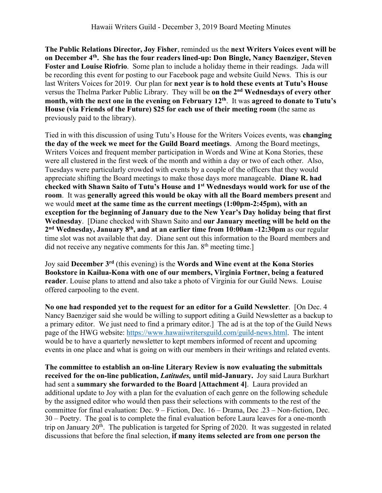**The Public Relations Director, Joy Fisher**, reminded us the **next Writers Voices event will be on December 4th. She has the four readers lined-up: Don Bingle, Nancy Baenziger, Steven Foster and Louise Riofrio**. Some plan to include a holiday theme in their readings. Jada will be recording this event for posting to our Facebook page and website Guild News. This is our last Writers Voices for 2019. Our plan for **next year is to hold these events at Tutu's House** versus the Thelma Parker Public Library. They will be **on the 2nd Wednesdays of every other month, with the next one in the evening on February 12th**. It was **agreed to donate to Tutu's House (via Friends of the Future) \$25 for each use of their meeting room** (the same as previously paid to the library).

Tied in with this discussion of using Tutu's House for the Writers Voices events, was **changing the day of the week we meet for the Guild Board meetings**. Among the Board meetings, Writers Voices and frequent member participation in Words and Wine at Kona Stories, these were all clustered in the first week of the month and within a day or two of each other. Also, Tuesdays were particularly crowded with events by a couple of the officers that they would appreciate shifting the Board meetings to make those days more manageable. **Diane R. had checked with Shawn Saito of Tutu's House and 1st Wednesdays would work for use of the room**. It was **generally agreed this would be okay with all the Board members present** and we would **meet at the same time as the current meetings (1:00pm-2:45pm), with an exception for the beginning of January due to the New Year's Day holiday being that first Wednesday**. [Diane checked with Shawn Saito and **our January meeting will be held on the 2nd Wednesday, January 8th, and at an earlier time from 10:00am -12:30pm** as our regular time slot was not available that day. Diane sent out this information to the Board members and did not receive any negative comments for this Jan. 8<sup>th</sup> meeting time.]

Joy said **December 3rd** (this evening) is the **Words and Wine event at the Kona Stories Bookstore in Kailua-Kona with one of our members, Virginia Fortner, being a featured reader**. Louise plans to attend and also take a photo of Virginia for our Guild News. Louise offered carpooling to the event.

**No one had responded yet to the request for an editor for a Guild Newsletter**. [On Dec. 4 Nancy Baenziger said she would be willing to support editing a Guild Newsletter as a backup to a primary editor. We just need to find a primary editor.] The ad is at the top of the Guild News page of the HWG website: https://www.hawaiiwritersguild.com/guild-news.html. The intent would be to have a quarterly newsletter to kept members informed of recent and upcoming events in one place and what is going on with our members in their writings and related events.

**The committee to establish an on-line Literary Review is now evaluating the submittals received for the on-line publication,** *Latitudes,* **until mid-January.** Joy said Laura Burkhart had sent a **summary she forwarded to the Board [Attachment 4]**. Laura provided an additional update to Joy with a plan for the evaluation of each genre on the following schedule by the assigned editor who would then pass their selections with comments to the rest of the committee for final evaluation: Dec. 9 – Fiction, Dec. 16 – Drama, Dec .23 – Non-fiction, Dec. 30 – Poetry. The goal is to complete the final evaluation before Laura leaves for a one-month trip on January  $20<sup>th</sup>$ . The publication is targeted for Spring of 2020. It was suggested in related discussions that before the final selection, **if many items selected are from one person the**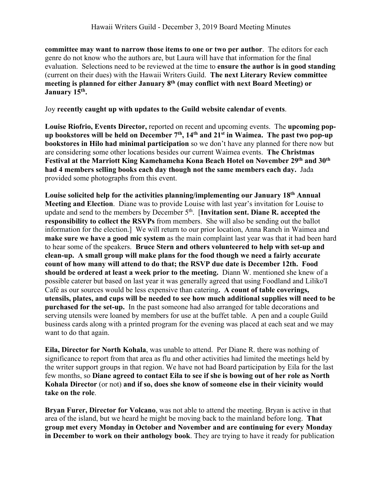**committee may want to narrow those items to one or two per author**. The editors for each genre do not know who the authors are, but Laura will have that information for the final evaluation. Selections need to be reviewed at the time to **ensure the author is in good standing** (current on their dues) with the Hawaii Writers Guild. **The next Literary Review committee meeting is planned for either January 8th (may conflict with next Board Meeting) or January 15th.**

Joy **recently caught up with updates to the Guild website calendar of events**.

**Louise Riofrio, Events Director,** reported on recent and upcoming events.The **upcoming popup bookstores will be held on December 7th, 14th and 21st in Waimea. The past two pop-up bookstores in Hilo had minimal participation** so we don't have any planned for there now but are considering some other locations besides our current Waimea events. **The Christmas Festival at the Marriott King Kamehameha Kona Beach Hotel on November 29th and 30th had 4 members selling books each day though not the same members each day.** Jada provided some photographs from this event.

**Louise solicited help for the activities planning/implementing our January 18th Annual Meeting and Election**. Diane was to provide Louise with last year's invitation for Louise to update and send to the members by December 5<sup>th</sup>. [Invitation sent. Diane R. accepted the **responsibility to collect the RSVPs** from members. She will also be sending out the ballot information for the election.] We will return to our prior location, Anna Ranch in Waimea and **make sure we have a good mic system** as the main complaint last year was that it had been hard to hear some of the speakers. **Bruce Stern and others volunteered to help with set-up and clean-up. A small group will make plans for the food though we need a fairly accurate count of how many will attend to do that; the RSVP due date is December 12th. Food should be ordered at least a week prior to the meeting.** Diann W. mentioned she knew of a possible caterer but based on last year it was generally agreed that using Foodland and Liliko'I Café as our sources would be less expensive than catering**. A count of table coverings, utensils, plates, and cups will be needed to see how much additional supplies will need to be purchased for the set-up.** In the past someone had also arranged for table decorations and serving utensils were loaned by members for use at the buffet table. A pen and a couple Guild business cards along with a printed program for the evening was placed at each seat and we may want to do that again.

**Eila, Director for North Kohala**, was unable to attend. Per Diane R. there was nothing of significance to report from that area as flu and other activities had limited the meetings held by the writer support groups in that region. We have not had Board participation by Eila for the last few months, so **Diane agreed to contact Eila to see if she is bowing out of her role as North Kohala Director** (or not) **and if so, does she know of someone else in their vicinity would take on the role**.

**Bryan Furer, Director for Volcano**, was not able to attend the meeting. Bryan is active in that area of the island, but we heard he might be moving back to the mainland before long. **That group met every Monday in October and November and are continuing for every Monday in December to work on their anthology book**. They are trying to have it ready for publication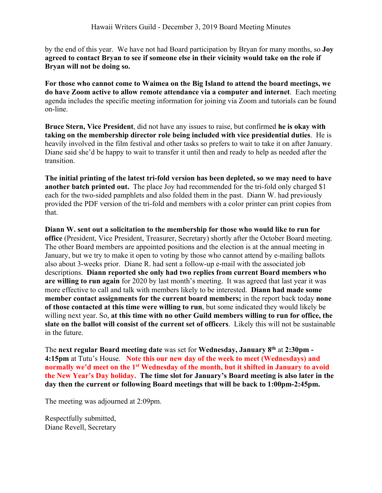by the end of this year. We have not had Board participation by Bryan for many months, so **Joy agreed to contact Bryan to see if someone else in their vicinity would take on the role if Bryan will not be doing so.**

**For those who cannot come to Waimea on the Big Island to attend the board meetings, we do have Zoom active to allow remote attendance via a computer and internet**. Each meeting agenda includes the specific meeting information for joining via Zoom and tutorials can be found on-line.

**Bruce Stern, Vice President**, did not have any issues to raise, but confirmed **he is okay with taking on the membership director role being included with vice presidential duties**. He is heavily involved in the film festival and other tasks so prefers to wait to take it on after January. Diane said she'd be happy to wait to transfer it until then and ready to help as needed after the transition.

**The initial printing of the latest tri-fold version has been depleted, so we may need to have another batch printed out.** The place Joy had recommended for the tri-fold only charged \$1 each for the two-sided pamphlets and also folded them in the past. Diann W. had previously provided the PDF version of the tri-fold and members with a color printer can print copies from that.

**Diann W. sent out a solicitation to the membership for those who would like to run for office** (President, Vice President, Treasurer, Secretary) shortly after the October Board meeting. The other Board members are appointed positions and the election is at the annual meeting in January, but we try to make it open to voting by those who cannot attend by e-mailing ballots also about 3-weeks prior. Diane R. had sent a follow-up e-mail with the associated job descriptions. **Diann reported she only had two replies from current Board members who are willing to run again** for 2020 by last month's meeting. It was agreed that last year it was more effective to call and talk with members likely to be interested. **Diann had made some member contact assignments for the current board members;** in the report back today **none of those contacted at this time were willing to run**, but some indicated they would likely be willing next year. So, **at this time with no other Guild members willing to run for office, the slate on the ballot will consist of the current set of officers**. Likely this will not be sustainable in the future.

The **next regular Board meeting date** was set for **Wednesday, January 8th** at **2:30pm - 4:15pm** at Tutu's House. **Note this our new day of the week to meet (Wednesdays) and normally we'd meet on the 1st Wednesday of the month, but it shifted in January to avoid the New Year's Day holiday. The time slot for January's Board meeting is also later in the day then the current or following Board meetings that will be back to 1:00pm-2:45pm.**

The meeting was adjourned at 2:09pm.

Respectfully submitted, Diane Revell, Secretary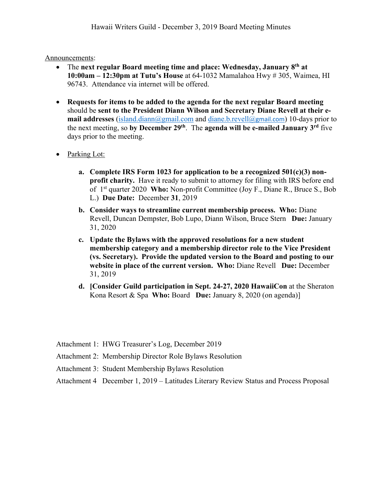Announcements:

- The **next regular Board meeting time and place: Wednesday, January 8th at 10:00am – 12:30pm at Tutu's House** at 64-1032 Mamalahoa Hwy # 305, Waimea, HI 96743. Attendance via internet will be offered.
- **Requests for items to be added to the agenda for the next regular Board meeting** should be **sent to the President Diann Wilson and Secretary Diane Revell at their email addresses** (island.diann@gmail.com and diane.b.revell@gmail.com) 10-days prior to the next meeting, so **by December 29th**. The **agenda will be e-mailed January 3rd** five days prior to the meeting.
- Parking Lot:
	- **a. Complete IRS Form 1023 for application to be a recognized 501(c)(3) nonprofit charity.** Have it ready to submit to attorney for filing with IRS before end of 1st quarter 2020 **Who:** Non-profit Committee (Joy F., Diane R., Bruce S., Bob L.) **Due Date:** December **31**, 2019
	- **b. Consider ways to streamline current membership process. Who:** Diane Revell, Duncan Dempster, Bob Lupo, Diann Wilson, Bruce Stern **Due:** January 31, 2020
	- **c. Update the Bylaws with the approved resolutions for a new student membership category and a membership director role to the Vice President (vs. Secretary). Provide the updated version to the Board and posting to our website in place of the current version. Who:** Diane Revell **Due:** December 31, 2019
	- **d. [Consider Guild participation in Sept. 24-27, 2020 HawaiiCon** at the Sheraton Kona Resort & Spa **Who:** Board **Due:** January 8, 2020 (on agenda)]
- Attachment 1: HWG Treasurer's Log, December 2019
- Attachment 2: Membership Director Role Bylaws Resolution
- Attachment 3: Student Membership Bylaws Resolution
- Attachment 4 December 1, 2019 Latitudes Literary Review Status and Process Proposal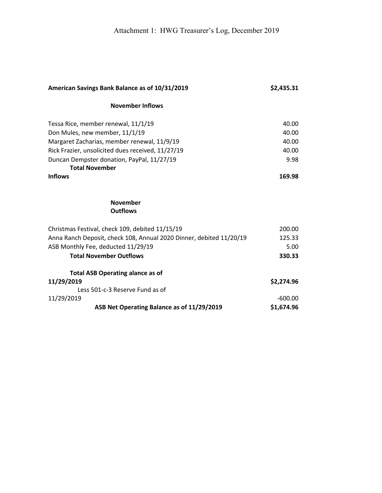| American Savings Bank Balance as of 10/31/2019                      | \$2,435.31 |
|---------------------------------------------------------------------|------------|
| <b>November Inflows</b>                                             |            |
| Tessa Rice, member renewal, 11/1/19                                 | 40.00      |
| Don Mules, new member, 11/1/19                                      | 40.00      |
| Margaret Zacharias, member renewal, 11/9/19                         | 40.00      |
| Rick Frazier, unsolicited dues received, 11/27/19                   | 40.00      |
| Duncan Dempster donation, PayPal, 11/27/19                          | 9.98       |
| <b>Total November</b>                                               |            |
| <b>Inflows</b>                                                      | 169.98     |
|                                                                     |            |
| <b>November</b>                                                     |            |
| <b>Outflows</b>                                                     |            |
| Christmas Festival, check 109, debited 11/15/19                     | 200.00     |
| Anna Ranch Deposit, check 108, Annual 2020 Dinner, debited 11/20/19 | 125.33     |
| ASB Monthly Fee, deducted 11/29/19                                  | 5.00       |
| <b>Total November Outflows</b>                                      | 330.33     |
| <b>Total ASB Operating alance as of</b>                             |            |
| 11/29/2019                                                          | \$2,274.96 |
| Less 501-c-3 Reserve Fund as of                                     |            |
| 11/29/2019                                                          | $-600.00$  |
| ASB Net Operating Balance as of 11/29/2019                          | \$1,674.96 |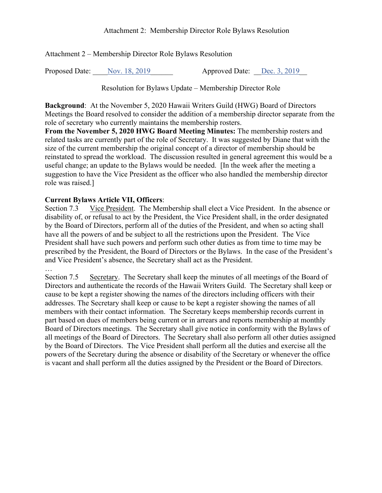Attachment 2 – Membership Director Role Bylaws Resolution

Proposed Date: Nov. 18, 2019 <br>
Approved Date: <u>Dec. 3, 2019</u>

Resolution for Bylaws Update – Membership Director Role

**Background**: At the November 5, 2020 Hawaii Writers Guild (HWG) Board of Directors Meetings the Board resolved to consider the addition of a membership director separate from the role of secretary who currently maintains the membership rosters.

**From the November 5, 2020 HWG Board Meeting Minutes:** The membership rosters and related tasks are currently part of the role of Secretary. It was suggested by Diane that with the size of the current membership the original concept of a director of membership should be reinstated to spread the workload. The discussion resulted in general agreement this would be a useful change; an update to the Bylaws would be needed. [In the week after the meeting a suggestion to have the Vice President as the officer who also handled the membership director role was raised.]

## **Current Bylaws Article VII, Officers**:

Section 7.3 Vice President. The Membership shall elect a Vice President. In the absence or disability of, or refusal to act by the President, the Vice President shall, in the order designated by the Board of Directors, perform all of the duties of the President, and when so acting shall have all the powers of and be subject to all the restrictions upon the President. The Vice President shall have such powers and perform such other duties as from time to time may be prescribed by the President, the Board of Directors or the Bylaws. In the case of the President's and Vice President's absence, the Secretary shall act as the President.

…

Section 7.5 Secretary. The Secretary shall keep the minutes of all meetings of the Board of Directors and authenticate the records of the Hawaii Writers Guild. The Secretary shall keep or cause to be kept a register showing the names of the directors including officers with their addresses. The Secretary shall keep or cause to be kept a register showing the names of all members with their contact information. The Secretary keeps membership records current in part based on dues of members being current or in arrears and reports membership at monthly Board of Directors meetings. The Secretary shall give notice in conformity with the Bylaws of all meetings of the Board of Directors. The Secretary shall also perform all other duties assigned by the Board of Directors. The Vice President shall perform all the duties and exercise all the powers of the Secretary during the absence or disability of the Secretary or whenever the office is vacant and shall perform all the duties assigned by the President or the Board of Directors.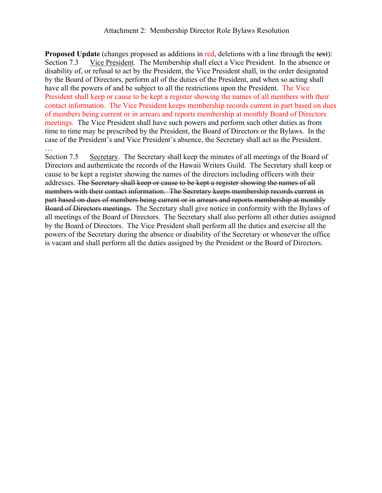**Proposed Update** (changes proposed as additions in red, deletions with a line through the text): Section 7.3 Vice President. The Membership shall elect a Vice President. In the absence or disability of, or refusal to act by the President, the Vice President shall, in the order designated by the Board of Directors, perform all of the duties of the President, and when so acting shall have all the powers of and be subject to all the restrictions upon the President. The Vice President shall keep or cause to be kept a register showing the names of all members with their contact information. The Vice President keeps membership records current in part based on dues of members being current or in arrears and reports membership at monthly Board of Directors meetings. The Vice President shall have such powers and perform such other duties as from time to time may be prescribed by the President, the Board of Directors or the Bylaws. In the case of the President's and Vice President's absence, the Secretary shall act as the President. …

Section 7.5 Secretary. The Secretary shall keep the minutes of all meetings of the Board of Directors and authenticate the records of the Hawaii Writers Guild. The Secretary shall keep or cause to be kept a register showing the names of the directors including officers with their addresses. The Secretary shall keep or cause to be kept a register showing the names of all members with their contact information. The Secretary keeps membership records current in part based on dues of members being current or in arrears and reports membership at monthly Board of Directors meetings. The Secretary shall give notice in conformity with the Bylaws of all meetings of the Board of Directors. The Secretary shall also perform all other duties assigned by the Board of Directors. The Vice President shall perform all the duties and exercise all the powers of the Secretary during the absence or disability of the Secretary or whenever the office is vacant and shall perform all the duties assigned by the President or the Board of Directors.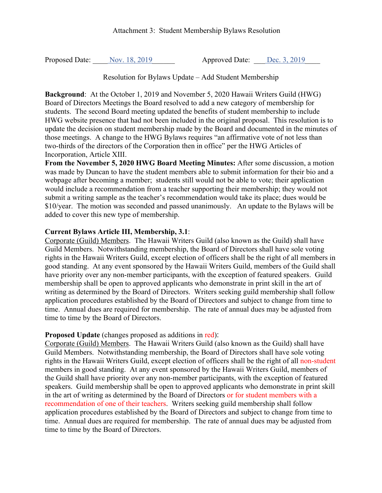Attachment 3: Student Membership Bylaws Resolution

Proposed Date: \_\_\_\_ <u>Nov. 18, 2019</u> \_\_\_\_\_\_\_\_\_\_\_ Approved Date: \_\_\_ <u>Dec. 3, 2019</u>

Resolution for Bylaws Update – Add Student Membership

**Background**: At the October 1, 2019 and November 5, 2020 Hawaii Writers Guild (HWG) Board of Directors Meetings the Board resolved to add a new category of membership for students. The second Board meeting updated the benefits of student membership to include HWG website presence that had not been included in the original proposal. This resolution is to update the decision on student membership made by the Board and documented in the minutes of those meetings. A change to the HWG Bylaws requires "an affirmative vote of not less than two-thirds of the directors of the Corporation then in office" per the HWG Articles of Incorporation, Article XIII.

**From the November 5, 2020 HWG Board Meeting Minutes:** After some discussion, a motion was made by Duncan to have the student members able to submit information for their bio and a webpage after becoming a member; students still would not be able to vote; their application would include a recommendation from a teacher supporting their membership; they would not submit a writing sample as the teacher's recommendation would take its place; dues would be \$10/year. The motion was seconded and passed unanimously. An update to the Bylaws will be added to cover this new type of membership.

## **Current Bylaws Article III, Membership, 3.1**:

Corporate (Guild) Members. The Hawaii Writers Guild (also known as the Guild) shall have Guild Members. Notwithstanding membership, the Board of Directors shall have sole voting rights in the Hawaii Writers Guild, except election of officers shall be the right of all members in good standing. At any event sponsored by the Hawaii Writers Guild, members of the Guild shall have priority over any non-member participants, with the exception of featured speakers. Guild membership shall be open to approved applicants who demonstrate in print skill in the art of writing as determined by the Board of Directors. Writers seeking guild membership shall follow application procedures established by the Board of Directors and subject to change from time to time. Annual dues are required for membership. The rate of annual dues may be adjusted from time to time by the Board of Directors.

## **Proposed Update** (changes proposed as additions in red):

Corporate (Guild) Members. The Hawaii Writers Guild (also known as the Guild) shall have Guild Members. Notwithstanding membership, the Board of Directors shall have sole voting rights in the Hawaii Writers Guild, except election of officers shall be the right of all non-student members in good standing. At any event sponsored by the Hawaii Writers Guild, members of the Guild shall have priority over any non-member participants, with the exception of featured speakers. Guild membership shall be open to approved applicants who demonstrate in print skill in the art of writing as determined by the Board of Directors or for student members with a recommendation of one of their teachers. Writers seeking guild membership shall follow application procedures established by the Board of Directors and subject to change from time to time. Annual dues are required for membership. The rate of annual dues may be adjusted from time to time by the Board of Directors.